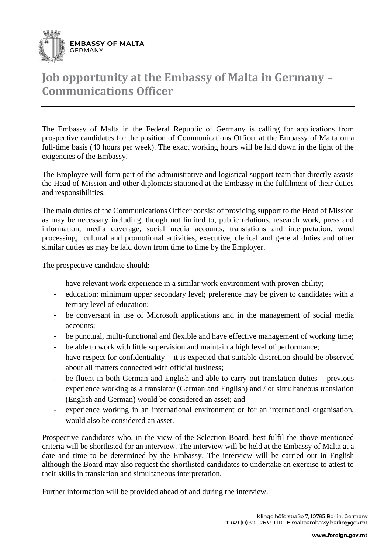

## **Job opportunity at the Embassy of Malta in Germany – Communications Officer**

The Embassy of Malta in the Federal Republic of Germany is calling for applications from prospective candidates for the position of Communications Officer at the Embassy of Malta on a full-time basis (40 hours per week). The exact working hours will be laid down in the light of the exigencies of the Embassy.

The Employee will form part of the administrative and logistical support team that directly assists the Head of Mission and other diplomats stationed at the Embassy in the fulfilment of their duties and responsibilities.

The main duties of the Communications Officer consist of providing support to the Head of Mission as may be necessary including, though not limited to, public relations, research work, press and information, media coverage, social media accounts, translations and interpretation, word processing, cultural and promotional activities, executive, clerical and general duties and other similar duties as may be laid down from time to time by the Employer.

The prospective candidate should:

- have relevant work experience in a similar work environment with proven ability;
- education: minimum upper secondary level; preference may be given to candidates with a tertiary level of education;
- be conversant in use of Microsoft applications and in the management of social media accounts;
- be punctual, multi-functional and flexible and have effective management of working time;
- be able to work with little supervision and maintain a high level of performance;
- have respect for confidentiality it is expected that suitable discretion should be observed about all matters connected with official business;
- be fluent in both German and English and able to carry out translation duties previous experience working as a translator (German and English) and / or simultaneous translation (English and German) would be considered an asset; and
- experience working in an international environment or for an international organisation, would also be considered an asset.

Prospective candidates who, in the view of the Selection Board, best fulfil the above-mentioned criteria will be shortlisted for an interview. The interview will be held at the Embassy of Malta at a date and time to be determined by the Embassy. The interview will be carried out in English although the Board may also request the shortlisted candidates to undertake an exercise to attest to their skills in translation and simultaneous interpretation.

Further information will be provided ahead of and during the interview.